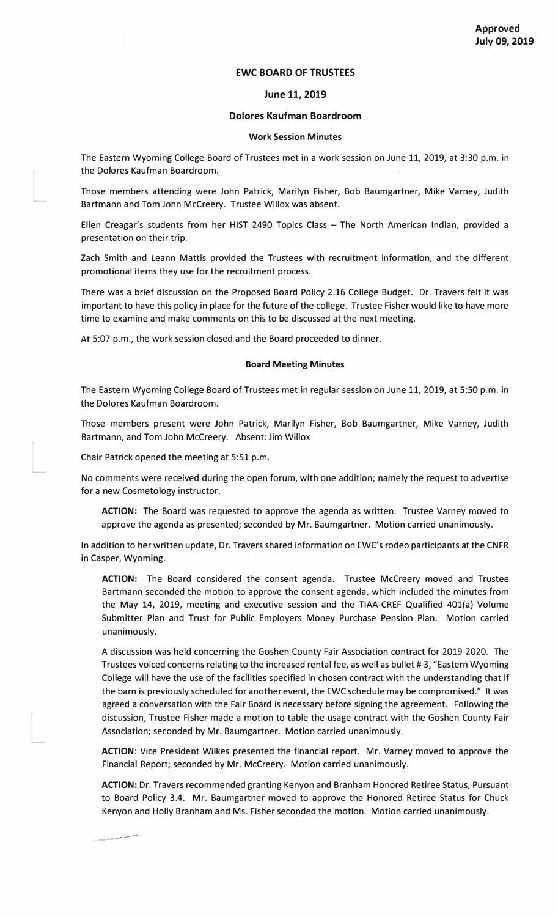# **EWC BOARD OF TRUSTEES**

### **June 11, 2019**

## **Dolores Kaufman Boardroom**

#### **Work Session Minutes**

The Eastern Wyoming College Board of Trustees met in a work session on June 11, 2019, at 3:30 p.m. in the Dolores Kaufman Boardroom.

Those members attending were John Patrick, Marilyn Fisher, Bob Baumgartner, Mike Varney, Judith Bartmann and Tom John Mccreery. Trustee Willox was absent.

Ellen Creagar's students from her HIST 2490 Topics Class - The North American Indian, provided a presentation on their trip.

Zach Smith and Leann Mattis provided the Trustees with recruitment information, and the different promotional items they use for the recruitment process.

There was a brief discussion on the Proposed Board Policy 2.16 College Budget. Dr. Travers felt it was important to have this policy in place for the future of the college. Trustee Fisher would like to have more time to examine and make comments on this to be discussed at the next meeting.

At 5:07 p.m., the work session closed and the Board proceeded to dinner.

#### **Board Meeting Minutes**

The Eastern Wyoming College Board of Trustees met in regular session on June 11, 2019, at 5:50 p.m. in the Dolores Kaufman Boardroom.

Those members present were John Patrick, Marilyn Fisher, Bob Baumgartner, Mike Varney, Judith Bartmann, and Tom John Mccreery. Absent: Jim Willox

Chair Patrick opened the meeting at 5:51 p.m.

--�----

No comments were received during the open forum, with one addition; namely the request to advertise for a new Cosmetology instructor.

**ACTION:** The Board was requested to approve the agenda as written. Trustee Varney moved to approve the agenda as presented; seconded by Mr. Baumgartner. Motion carried unanimously.

In addition to her written update, Dr. Travers shared information on EWC's rodeo participants at the CNFR in Casper, Wyoming.

**ACTION:** The Board considered the consent agenda. Trustee Mccreery moved and Trustee Bartmann seconded the motion to approve the consent agenda, which included the minutes from the May 14, 2019, meeting and executive session and the TIAA-CREF Qualified 401(a) Volume Submitter Plan and Trust for Public Employers Money Purchase Pension Plan. Motion carried unanimously.

A discussion was held concerning the Goshen County Fair Association contract for 2019-2020. The Trustees voiced concerns relating to the increased rental fee, as well as bullet # 3, "Eastern Wyoming College will have the use of the facilities specified in chosen contract with the understanding that if the barn is previously scheduled for another event, the EWC schedule may be compromised." It was agreed a conversation with the Fair Board is necessary before signing the agreement. Following the discussion, Trustee Fisher made a motion to table the usage contract with the Goshen County Fair Association; seconded by Mr. Baumgartner. Motion carried unanimously.

**ACTION:** Vice President Wilkes presented the financial report. Mr. Varney moved to approve the Financial Report; seconded by Mr. Mccreery. Motion carried unanimously.

**ACTION:** Dr. Travers recommended granting Kenyon and Branham Honored Retiree Status, Pursuant to Board Policy 3.4. Mr. Baumgartner moved to approve the Honored Retiree Status for Chuck Kenyon and Holly Branham and Ms. Fisher seconded the motion. Motion carried unanimously.